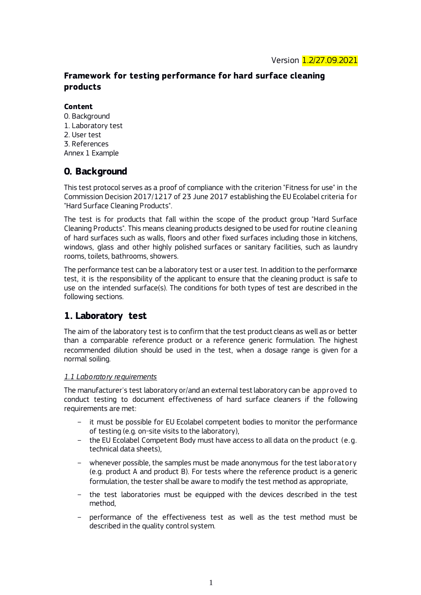## **Framework for testing performance for hard surface cleaning products**

## **Content**

- 0. Background
- 1. Laboratory test
- 2. User test
- 3. References Annex 1 Example

# **0. Background**

This test protocol serves as a proof of compliance with the criterion "Fitness for use" in the Commission Decision 2017/1217 of 23 June 2017 establishing the EU Ecolabel criteria for "Hard Surface Cleaning Products".

The test is for products that fall within the scope of the product group "Hard Surface Cleaning Products". This means cleaning products designed to be used for routine cleaning of hard surfaces such as walls, floors and other fixed surfaces including those in kitchens, windows, glass and other highly polished surfaces or sanitary facilities, such as laundry rooms, toilets, bathrooms, showers.

The performance test can be a laboratory test or a user test. In addition to the performance test, it is the responsibility of the applicant to ensure that the cleaning product is safe to use on the intended surface(s). The conditions for both types of test are described in the following sections.

# **1. Laboratory test**

The aim of the laboratory test is to confirm that the test product cleans as well as or better than a comparable reference product or a reference generic formulation. The highest recommended dilution should be used in the test, when a dosage range is given for a normal soiling.

## *1.1 Laboratory requirements*

The manufacturer's test laboratory or/and an external test laboratory can be approved to conduct testing to document effectiveness of hard surface cleaners if the following requirements are met:

- it must be possible for EU Ecolabel competent bodies to monitor the performance of testing (e.g. on-site visits to the laboratory),
- the EU Ecolabel Competent Body must have access to all data on the product (e.g. technical data sheets),
- whenever possible, the samples must be made anonymous for the test laboratory (e.g. product A and product B). For tests where the reference product is a generic formulation, the tester shall be aware to modify the test method as appropriate,
- the test laboratories must be equipped with the devices described in the test method,
- performance of the effectiveness test as well as the test method must be described in the quality control system.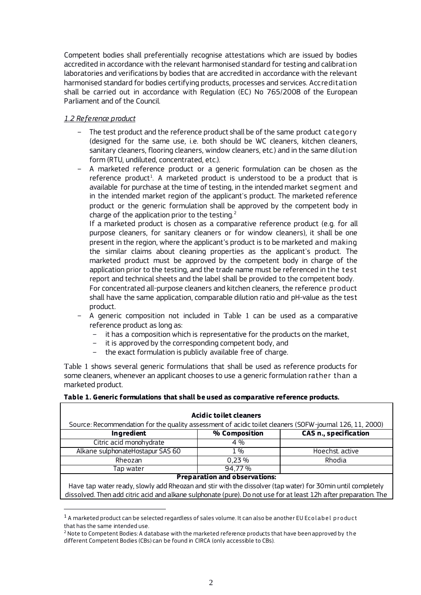Competent bodies shall preferentially recognise attestations which are issued by bodies accredited in accordance with the relevant harmonised standard for testing and calibration laboratories and verifications by bodies that are accredited in accordance with the relevant harmonised standard for bodies certifying products, processes and services. Accreditation shall be carried out in accordance with Regulation (EC) No 765/2008 of the European Parliament and of the Council.

## *1.2 Reference product*

l

- The test product and the reference product shall be of the same product category (designed for the same use, i.e. both should be WC cleaners, kitchen cleaners, sanitary cleaners, flooring cleaners, window cleaners, etc.) and in the same dilution form (RTU, undiluted, concentrated, etc.).
- A marketed reference product or a generic formulation can be chosen as the  $reference product<sup>1</sup>$ . A marketed product is understood to be a product that is available for purchase at the time of testing, in the intended market segment and in the intended market region of the applicant's product. The marketed reference product or the generic formulation shall be approved by the competent body in charge of the application prior to the testing. $2$

If a marketed product is chosen as a comparative reference product (e.g. for all purpose cleaners, for sanitary cleaners or for window cleaners), it shall be one present in the region, where the applicant's product is to be marketed and making the similar claims about cleaning properties as the applicant's product. The marketed product must be approved by the competent body in charge of the application prior to the testing, and the trade name must be referenced in the test report and technical sheets and the label shall be provided to the competent body. For concentrated all-purpose cleaners and kitchen cleaners, the reference product shall have the same application, comparable dilution ratio and pH-value as the test product.

- A generic composition not included in [Table 1](#page-1-0) can be used as a comparative reference product as long as:
	- it has a composition which is representative for the products on the market,
	- it is approved by the corresponding competent body, and
	- the exact formulation is publicly available free of charge.

[Table 1](#page-1-0) shows several generic formulations that shall be used as reference products for some cleaners, whenever an applicant chooses to use a generic formulation rather than a marketed product.

## <span id="page-1-0"></span>**Table 1. Generic formulations that shall be used as comparative reference products.**

| Acidic toilet cleaners                                                                                   |               |                              |  |  |
|----------------------------------------------------------------------------------------------------------|---------------|------------------------------|--|--|
| Source: Recommendation for the quality assessment of acidic toilet cleaners (SOFW-journal 126, 11, 2000) |               |                              |  |  |
| Ingredient                                                                                               | % Composition | <b>CAS n., specification</b> |  |  |
| Citric acid monohydrate                                                                                  | $4\%$         |                              |  |  |
| Alkane sulphonateHostapur SAS 60                                                                         | $1\%$         | Hoechst, active              |  |  |
| Rheozan                                                                                                  | 0.23%         | Rhodia                       |  |  |
| Tap water                                                                                                | 94,77%        |                              |  |  |
| <b>Preparation and observations:</b>                                                                     |               |                              |  |  |

#### **Preparation and observations:**

Have tap water ready, slowly add Rheozan and stir with the dissolver (tap water) for 30min until completely dissolved. Then add citric acid and alkane sulphonate (pure). Do not use for at least 12h after preparation. The

 $1$  A marketed product can be selected regardless of sales volume. It can also be another EU Ecolabel product that has the same intended use.

<sup>&</sup>lt;sup>2</sup> Note to Competent Bodies: A database with the marketed reference products that have been approved by the different Competent Bodies (CBs) can be found in CIRCA (only accessible to CBs).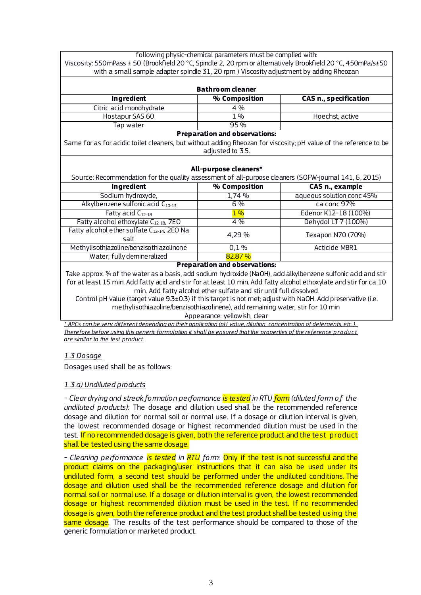| following physic-chemical parameters must be complied with:<br>Viscosity: 550mPass ± 50 (Brookfield 20 °C, Spindle 2, 20 rpm or alternatively Brookfield 20 °C, 450mPa/s±50<br>with a small sample adapter spindle 31, 20 rpm) Viscosity adjustment by adding Rheozan |                                      |                              |  |
|-----------------------------------------------------------------------------------------------------------------------------------------------------------------------------------------------------------------------------------------------------------------------|--------------------------------------|------------------------------|--|
|                                                                                                                                                                                                                                                                       |                                      |                              |  |
|                                                                                                                                                                                                                                                                       | <b>Bathroom cleaner</b>              |                              |  |
| <b>Ingredient</b>                                                                                                                                                                                                                                                     | % Composition                        | <b>CAS n., specification</b> |  |
| Citric acid monohydrate                                                                                                                                                                                                                                               | 4 %                                  |                              |  |
| Hostapur SAS 60                                                                                                                                                                                                                                                       | 1%                                   | Hoechst, active              |  |
| Tap water                                                                                                                                                                                                                                                             | 95%                                  |                              |  |
|                                                                                                                                                                                                                                                                       | <b>Preparation and observations:</b> |                              |  |
| Same for as for acidic toilet cleaners, but without adding Rheozan for viscosity; pH value of the reference to be                                                                                                                                                     |                                      |                              |  |
|                                                                                                                                                                                                                                                                       | adjusted to 3.5.                     |                              |  |
|                                                                                                                                                                                                                                                                       |                                      |                              |  |
|                                                                                                                                                                                                                                                                       | All-purpose cleaners*                |                              |  |
| Source: Recommendation for the quality assessment of all-purpose cleaners (SOFW-journal 141, 6, 2015)                                                                                                                                                                 |                                      |                              |  |
| Ingredient                                                                                                                                                                                                                                                            | % Composition                        | CAS n., example              |  |
| Sodium hydroxyde,                                                                                                                                                                                                                                                     | 1,74 %                               | aqueous solution conc 45%    |  |
| Alkylbenzene sulfonic acid C <sub>10-13</sub>                                                                                                                                                                                                                         | 6%                                   | ca conc 97%                  |  |
| Fatty acid C <sub>12-18</sub>                                                                                                                                                                                                                                         | $1\%$                                | Edenor K12-18 (100%)         |  |
| Fatty alcohol ethoxylate C <sub>12-18</sub> , 7EO                                                                                                                                                                                                                     | 4%                                   | Dehydol LT 7 (100%)          |  |
| Fatty alcohol ether sulfate C <sub>12-14</sub> , 2EO Na<br>salt                                                                                                                                                                                                       | 4,29 %                               | Texapon N70 (70%)            |  |
| Methylisothiazoline/benzisothiazolinone                                                                                                                                                                                                                               | 0,1%                                 | Acticide MBR1                |  |
| Water, fully demineralized                                                                                                                                                                                                                                            | 82.87%                               |                              |  |
| <b>Preparation and observations:</b>                                                                                                                                                                                                                                  |                                      |                              |  |
| Take approx. 34 of the water as a basis, add sodium hydroxide (NaOH), add alkylbenzene sulfonic acid and stir                                                                                                                                                         |                                      |                              |  |
| for at least 15 min. Add fatty acid and stir for at least 10 min. Add fatty alcohol ethoxylate and stir for ca 10                                                                                                                                                     |                                      |                              |  |
| min. Add fatty alcohol ether sulfate and stir until full dissolved.                                                                                                                                                                                                   |                                      |                              |  |
| Control pH value (target value 9.3±0.3) if this target is not met; adjust with NaOH. Add preservative (i.e.                                                                                                                                                           |                                      |                              |  |
| methylisothiazoline/benzisothiazolinene), add remaining water, stir for 10 min                                                                                                                                                                                        |                                      |                              |  |
| Appearance: yellowish, clear                                                                                                                                                                                                                                          |                                      |                              |  |
| * APCs can be very different depending on their application (pH value dilution, concentration of detergents, etc.)                                                                                                                                                    |                                      |                              |  |

*\* APCs can be very different depending on their application (pH value, dilution, concentration of detergents, etc.). Therefore before using this generic formulation it shall be ensured that the properties of the reference product are similar to the test product.* 

## *1.3 Dosage*

Dosages used shall be as follows:

## *1.3.a) Undiluted products*

*- Clear drying and streak formation performance is tested in RTU form (diluted form o f the undiluted products):* The dosage and dilution used shall be the recommended reference dosage and dilution for normal soil or normal use. If a dosage or dilution interval is given, the lowest recommended dosage or highest recommended dilution must be used in the test. If no recommended dosage is given, both the reference product and the test product shall be tested using the same dosage.

*- Cleaning performance is tested in RTU form:* Only if the test is not successful and the product claims on the packaging/user instructions that it can also be used under its undiluted form, a second test should be performed under the undiluted conditions. The dosage and dilution used shall be the recommended reference dosage and dilution for normal soil or normal use. If a dosage or dilution interval is given, the lowest recommended dosage or highest recommended dilution must be used in the test. If no recommended dosage is given, both the reference product and the test product shall be tested using the same dosage. The results of the test performance should be compared to those of the generic formulation or marketed product.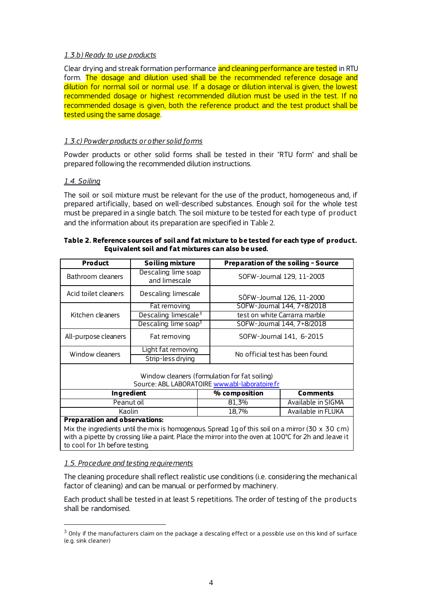#### *1.3.b) Ready to use products*

Clear drying and streak formation performance and cleaning performance are tested in RTU form. The dosage and dilution used shall be the recommended reference dosage and dilution for normal soil or normal use. If a dosage or dilution interval is given, the lowest recommended dosage or highest recommended dilution must be used in the test. If no recommended dosage is given, both the reference product and the test product shall be tested using the same dosage.

## *1.3.c) Powder products or other solid forms*

Powder products or other solid forms shall be tested in their "RTU form" and shall be prepared following the recommended dilution instructions.

## *1.4. Soiling*

The soil or soil mixture must be relevant for the use of the product, homogeneous and, if prepared artificially, based on well-described substances. Enough soil for the whole test must be prepared in a single batch. The soil mixture to be tested for each type of product and the information about its preparation are specified in [Table 2](#page-3-0).

| Product                                                                                                                                                                                                                                                 | <b>Soiling mixture</b>                |                                  | Preparation of the soiling - Source |  |
|---------------------------------------------------------------------------------------------------------------------------------------------------------------------------------------------------------------------------------------------------------|---------------------------------------|----------------------------------|-------------------------------------|--|
| Bathroom cleaners                                                                                                                                                                                                                                       | Descaling: lime soap<br>and limescale | SOFW-Journal 129, 11-2003        |                                     |  |
| Acid toilet cleaners                                                                                                                                                                                                                                    | Descaling: limescale                  |                                  | SÖFW-Journal 126, 11-2000           |  |
|                                                                                                                                                                                                                                                         | Fat removing                          |                                  | SOFW-Journal 144, 7+8/2018          |  |
| Kitchen cleaners                                                                                                                                                                                                                                        | Descaling: limescale <sup>3</sup>     | test on white Carrarra marble    |                                     |  |
|                                                                                                                                                                                                                                                         | Descaling: lime soap <sup>3</sup>     |                                  | SOFW-Journal 144, 7+8/2018          |  |
| All-purpose cleaners                                                                                                                                                                                                                                    | Fat removing                          |                                  | SOFW-Journal 141, 6-2015            |  |
| Window cleaners                                                                                                                                                                                                                                         | Light fat removing                    | No official test has been found. |                                     |  |
|                                                                                                                                                                                                                                                         | Strip-less drying                     |                                  |                                     |  |
| Window cleaners (formulation for fat soiling)<br>Source: ABL LABORATOIRE www.abl-laboratoire.fr                                                                                                                                                         |                                       |                                  |                                     |  |
| Ingredient                                                                                                                                                                                                                                              |                                       | % composition                    | <b>Comments</b>                     |  |
| Peanut oil                                                                                                                                                                                                                                              |                                       | 81,3%                            | Available in SIGMA                  |  |
| Kaolin                                                                                                                                                                                                                                                  |                                       | 18,7%                            | Available in FLUKA                  |  |
| <b>Preparation and observations:</b><br>Mix the ingredients until the mix is homogenous. Spread 1g of this soil on a mirror (30 $\times$ 30 cm)<br>with a pipette by crossing like a paint. Place the mirror into the oven at 100°C for 2h and leave it |                                       |                                  |                                     |  |

#### <span id="page-3-0"></span>**Table 2. Reference sources of soil and fat mixture to be tested for each type of product. Equivalent soil and fat mixtures can also be used.**

## *1.5. Procedure and testing requirements*

to cool for 1h before testing.

l

The cleaning procedure shall reflect realistic use conditions (i.e. considering the mechanical factor of cleaning) and can be manual or performed by machinery.

Each product shall be tested in at least 5 repetitions. The order of testing of the products shall be randomised.

 $3$  Only if the manufacturers claim on the package a descaling effect or a possible use on this kind of surface (e.g. sink cleaner)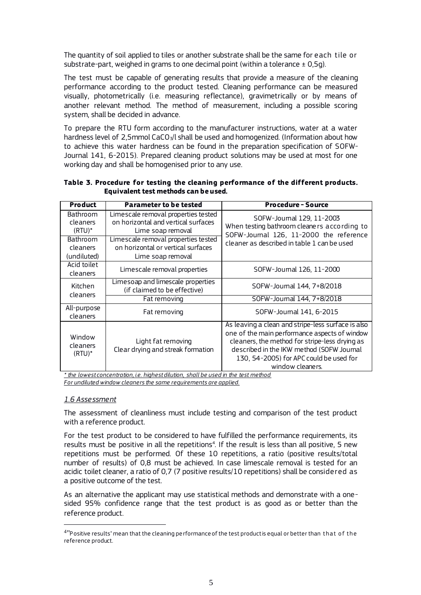The quantity of soil applied to tiles or another substrate shall be the same for each tile or substrate-part, weighed in grams to one decimal point (within a tolerance  $\pm$  0,5g).

The test must be capable of generating results that provide a measure of the cleaning performance according to the product tested. Cleaning performance can be measured visually, photometrically (i.e. measuring reflectance), gravimetrically or by means of another relevant method. The method of measurement, including a possible scoring system, shall be decided in advance.

To prepare the RTU form according to the manufacturer instructions, water at a water hardness level of 2,5mmol CaCO<sub>3</sub>/l shall be used and homogenized. (Information about how to achieve this water hardness can be found in the preparation specification of SOFW-Journal 141, 6-2015). Prepared cleaning product solutions may be used at most for one working day and shall be homogenised prior to any use.

| <b>Product</b>                             | <b>Parameter to be tested</b>                                                                   | <b>Procedure - Source</b>                                                                                                                                                                                                                                         |  |
|--------------------------------------------|-------------------------------------------------------------------------------------------------|-------------------------------------------------------------------------------------------------------------------------------------------------------------------------------------------------------------------------------------------------------------------|--|
| Bathroom<br>cleaners<br>$(RTU)^*$          | Limescale removal properties tested<br>on horizontal and vertical surfaces<br>Lime soap removal | SOFW-Journal 129, 11-2003<br>When testing bathroom cleaners according to<br>SOFW-Journal 126, 11-2000 the reference<br>cleaner as described in table 1 can be used                                                                                                |  |
| <b>Bathroom</b><br>cleaners<br>(undiluted) | Limescale removal properties tested<br>on horizontal or vertical surfaces<br>Lime soap removal  |                                                                                                                                                                                                                                                                   |  |
| Acid toilet<br>cleaners                    | Limescale removal properties                                                                    | SOFW-Journal 126, 11-2000                                                                                                                                                                                                                                         |  |
| Kitchen<br>cleaners                        | Limesoap and limescale properties<br>(if claimed to be effective)                               | SOFW-Journal 144, 7+8/2018                                                                                                                                                                                                                                        |  |
|                                            | Fat removing                                                                                    | SOFW-Journal 144, 7+8/2018                                                                                                                                                                                                                                        |  |
| All-purpose<br>cleaners                    | Fat removing                                                                                    | SOFW-Journal 141, 6-2015                                                                                                                                                                                                                                          |  |
| Window<br>cleaners<br>$(RTU)*$             | Light fat removing<br>Clear drying and streak formation                                         | As leaving a clean and stripe-less surface is also<br>one of the main performance aspects of window<br>cleaners, the method for stripe-less drying as<br>described in the IKW method (SOFW Journal<br>130, 54-2005) for APC could be used for<br>window cleaners. |  |

**Table 3. Procedure for testing the cleaning performance of the different products. Equivalent test methods can be used.** 

*\* the lowest concentration, i.e. highest dilution, shall be used in the test method For undiluted window cleaners the same requirements are applied.* 

#### *1.6 Assessment*

l

The assessment of cleanliness must include testing and comparison of the test product with a reference product.

For the test product to be considered to have fulfilled the performance requirements, its  $results$  must be positive in all the repetitions<sup>4</sup>. If the result is less than all positive, 5 new repetitions must be performed. Of these 10 repetitions, a ratio (positive results/total number of results) of 0,8 must be achieved. In case limescale removal is tested for an acidic toilet cleaner, a ratio of 0,7 (7 positive results/10 repetitions) shall be considered as a positive outcome of the test.

As an alternative the applicant may use statistical methods and demonstrate with a onesided 95% confidence range that the test product is as good as or better than the reference product.

<sup>4</sup>"Positive results" mean that the cleaning performance of the test product is equal or better than that o f the reference product.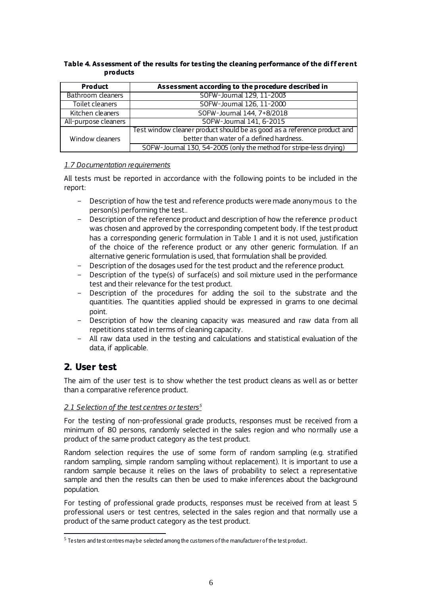| <b>Product</b>       | Assessment according to the procedure described in                       |
|----------------------|--------------------------------------------------------------------------|
| Bathroom cleaners    | SOFW-Journal 129, 11-2003                                                |
| Toilet cleaners      | SOFW-Journal 126, 11-2000                                                |
| Kitchen cleaners     | SOFW-Journal 144, 7+8/2018                                               |
| All-purpose cleaners | SOFW-Journal 141, 6-2015                                                 |
|                      | Test window cleaner product should be as good as a reference product and |
| Window cleaners      | better than water of a defined hardness.                                 |
|                      | SOFW-Journal 130, 54-2005 (only the method for stripe-less drying)       |

#### **Table 4. Assessment of the results for testing the cleaning performance of the different products**

## *1.7 Documentation requirements*

All tests must be reported in accordance with the following points to be included in the report:

- Description of how the test and reference products were made anonymous to the person(s) performing the test..
- Description of the reference product and description of how the reference product was chosen and approved by the corresponding competent body. If the test product has a corresponding generic formulation in [Table 1](#page-1-0) and it is not used, justification of the choice of the reference product or any other generic formulation. If an alternative generic formulation is used, that formulation shall be provided.
- Description of the dosages used for the test product and the reference product.
- Description of the type(s) of surface(s) and soil mixture used in the performance test and their relevance for the test product.
- Description of the procedures for adding the soil to the substrate and the quantities. The quantities applied should be expressed in grams to one decimal point.
- Description of how the cleaning capacity was measured and raw data from all repetitions stated in terms of cleaning capacity.
- All raw data used in the testing and calculations and statistical evaluation of the data, if applicable.

## **2. User test**

l

The aim of the user test is to show whether the test product cleans as well as or better than a comparative reference product.

## *2.1 Selection of the test centres or testers<sup>5</sup>*

For the testing of non-professional grade products, responses must be received from a minimum of 80 persons, randomly selected in the sales region and who normally use a product of the same product category as the test product.

Random selection requires the use of some form of random sampling (e.g. stratified random sampling, simple random sampling without replacement). It is important to use a random sample because it relies on the laws of probability to select a representative sample and then the results can then be used to make inferences about the background population.

For testing of professional grade products, responses must be received from at least 5 professional users or test centres, selected in the sales region and that normally use a product of the same product category as the test product.

 $^5$  Te sters and te st centres may be selected among the customers of the manufacture r of the te st product.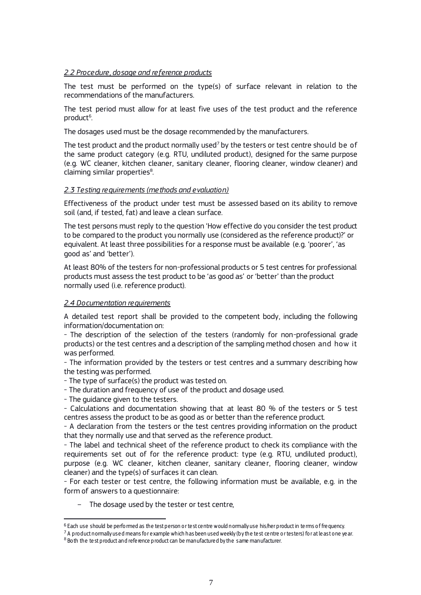#### *2.2 Procedure, dosage and reference products*

The test must be performed on the type(s) of surface relevant in relation to the recommendations of the manufacturers.

The test period must allow for at least five uses of the test product and the reference product<sup>6</sup>. .

The dosages used must be the dosage recommended by the manufacturers.

The test product and the product normally used<sup>7</sup> by the testers or test centre should be of the same product category (e.g. RTU, undiluted product), designed for the same purpose (e.g. WC cleaner, kitchen cleaner, sanitary cleaner, flooring cleaner, window cleaner) and claiming similar properties $8$ . .

#### *2.3 Testing requirements (methods and evaluation)*

Effectiveness of the product under test must be assessed based on its ability to remove soil (and, if tested, fat) and leave a clean surface.

The test persons must reply to the question 'How effective do you consider the test product to be compared to the product you normally use (considered as the reference product)?' or equivalent. At least three possibilities for a response must be available (e.g. 'poorer', 'as good as' and 'better').

At least 80% of the testers for non-professional products or 5 test centres for professional products must assess the test product to be 'as good as' or 'better' than the product normally used (i.e. reference product).

#### *2.4 Documentation requirements*

A detailed test report shall be provided to the competent body, including the following information/documentation on:

- The description of the selection of the testers (randomly for non-professional grade products) or the test centres and a description of the sampling method chosen and how it was performed.

- The information provided by the testers or test centres and a summary describing how the testing was performed.

- The type of surface(s) the product was tested on.

- The duration and frequency of use of the product and dosage used.

- The guidance given to the testers.

 $\overline{a}$ 

- Calculations and documentation showing that at least 80 % of the testers or 5 test centres assess the product to be as good as or better than the reference product.

- A declaration from the testers or the test centres providing information on the product that they normally use and that served as the reference product.

- The label and technical sheet of the reference product to check its compliance with the requirements set out of for the reference product: type (e.g. RTU, undiluted product), purpose (e.g. WC cleaner, kitchen cleaner, sanitary cleaner, flooring cleaner, window cleaner) and the type(s) of surfaces it can clean.

- For each tester or test centre, the following information must be available, e.g. in the form of answers to a questionnaire:

The dosage used by the tester or test centre,

<sup>6</sup> Each use should be performed as the test person or te st ce ntre would normally use his/her product in te rms of fre quency.

<sup>&</sup>lt;sup>7</sup> A product normally used means for example which has been used weekly (by the test centre or testers) for at least one year.

 $8$  Both the test product and reference product can be manufactured by the same manufacturer.